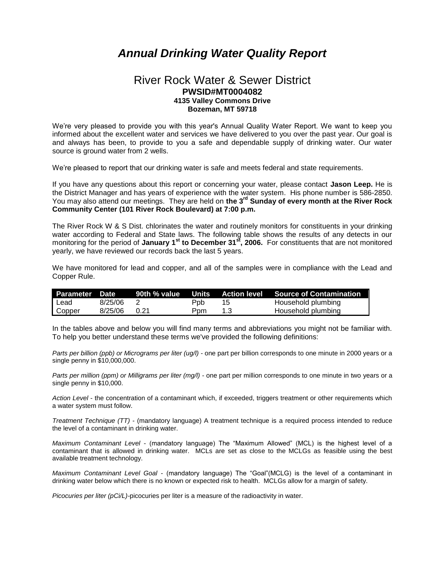## *Annual Drinking Water Quality Report*

## River Rock Water & Sewer District **PWSID#MT0004082 4135 Valley Commons Drive Bozeman, MT 59718**

We're very pleased to provide you with this year's Annual Quality Water Report. We want to keep you informed about the excellent water and services we have delivered to you over the past year. Our goal is and always has been, to provide to you a safe and dependable supply of drinking water. Our water source is ground water from 2 wells.

We're pleased to report that our drinking water is safe and meets federal and state requirements.

If you have any questions about this report or concerning your water, please contact **Jason Leep.** He is the District Manager and has years of experience with the water system. His phone number is 586-2850. You may also attend our meetings. They are held on **the 3rd Sunday of every month at the River Rock Community Center (101 River Rock Boulevard) at 7:00 p.m.**

The River Rock W & S Dist. chlorinates the water and routinely monitors for constituents in your drinking water according to Federal and State laws. The following table shows the results of any detects in our monitoring for the period of **January 1st to December 31st, 2006.** For constituents that are not monitored yearly, we have reviewed our records back the last 5 years.

We have monitored for lead and copper, and all of the samples were in compliance with the Lead and Copper Rule.

| <b>Parameter Date</b> |         |        |      |     | 90th % value Units Action level Source of Contamination |
|-----------------------|---------|--------|------|-----|---------------------------------------------------------|
| l Lead                | 8/25/06 |        | Ppb. | 15  | Household plumbing                                      |
| Copper                | 8/25/06 | - 0.21 | Ppm  | 1.3 | Household plumbing                                      |

In the tables above and below you will find many terms and abbreviations you might not be familiar with. To help you better understand these terms we've provided the following definitions:

*Parts per billion (ppb) or Micrograms per liter (ug/l)* - one part per billion corresponds to one minute in 2000 years or a single penny in \$10,000,000.

*Parts per million (ppm) or Milligrams per liter (mg/l)* - one part per million corresponds to one minute in two years or a single penny in \$10,000.

*Action Level* - the concentration of a contaminant which, if exceeded, triggers treatment or other requirements which a water system must follow.

*Treatment Technique (TT)* - (mandatory language) A treatment technique is a required process intended to reduce the level of a contaminant in drinking water.

*Maximum Contaminant Level* - (mandatory language) The "Maximum Allowed" (MCL) is the highest level of a contaminant that is allowed in drinking water. MCLs are set as close to the MCLGs as feasible using the best available treatment technology.

*Maximum Contaminant Level Goal* - (mandatory language) The "Goal"(MCLG) is the level of a contaminant in drinking water below which there is no known or expected risk to health. MCLGs allow for a margin of safety.

*Picocuries per liter (pCi/L)-*picocuries per liter is a measure of the radioactivity in water.